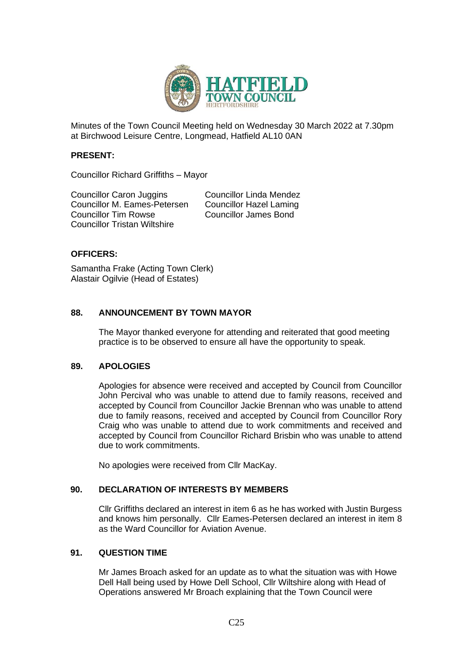

Minutes of the Town Council Meeting held on Wednesday 30 March 2022 at 7.30pm at Birchwood Leisure Centre, Longmead, Hatfield AL10 0AN

#### **PRESENT:**

Councillor Richard Griffiths – Mayor

Councillor Caron Juggins Councillor Linda Mendez Councillor M. Eames-Petersen Councillor Hazel Laming Councillor Tim Rowse Councillor James Bond Councillor Tristan Wiltshire

## **OFFICERS:**

Samantha Frake (Acting Town Clerk) Alastair Ogilvie (Head of Estates)

## **88. ANNOUNCEMENT BY TOWN MAYOR**

The Mayor thanked everyone for attending and reiterated that good meeting practice is to be observed to ensure all have the opportunity to speak.

#### **89. APOLOGIES**

Apologies for absence were received and accepted by Council from Councillor John Percival who was unable to attend due to family reasons, received and accepted by Council from Councillor Jackie Brennan who was unable to attend due to family reasons, received and accepted by Council from Councillor Rory Craig who was unable to attend due to work commitments and received and accepted by Council from Councillor Richard Brisbin who was unable to attend due to work commitments.

No apologies were received from Cllr MacKay.

## **90. DECLARATION OF INTERESTS BY MEMBERS**

Cllr Griffiths declared an interest in item 6 as he has worked with Justin Burgess and knows him personally. Cllr Eames-Petersen declared an interest in item 8 as the Ward Councillor for Aviation Avenue.

#### **91. QUESTION TIME**

Mr James Broach asked for an update as to what the situation was with Howe Dell Hall being used by Howe Dell School, Cllr Wiltshire along with Head of Operations answered Mr Broach explaining that the Town Council were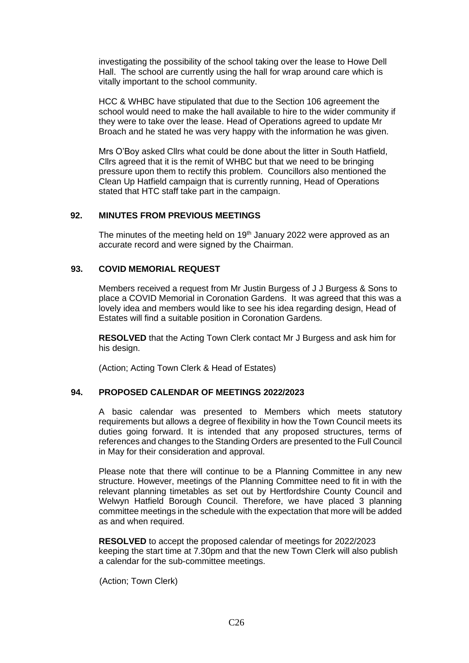investigating the possibility of the school taking over the lease to Howe Dell Hall. The school are currently using the hall for wrap around care which is vitally important to the school community.

HCC & WHBC have stipulated that due to the Section 106 agreement the school would need to make the hall available to hire to the wider community if they were to take over the lease. Head of Operations agreed to update Mr Broach and he stated he was very happy with the information he was given.

Mrs O'Boy asked Cllrs what could be done about the litter in South Hatfield, Cllrs agreed that it is the remit of WHBC but that we need to be bringing pressure upon them to rectify this problem. Councillors also mentioned the Clean Up Hatfield campaign that is currently running, Head of Operations stated that HTC staff take part in the campaign.

### **92. MINUTES FROM PREVIOUS MEETINGS**

The minutes of the meeting held on  $19<sup>th</sup>$  January 2022 were approved as an accurate record and were signed by the Chairman.

### **93. COVID MEMORIAL REQUEST**

Members received a request from Mr Justin Burgess of J J Burgess & Sons to place a COVID Memorial in Coronation Gardens. It was agreed that this was a lovely idea and members would like to see his idea regarding design, Head of Estates will find a suitable position in Coronation Gardens.

**RESOLVED** that the Acting Town Clerk contact Mr J Burgess and ask him for his design.

(Action; Acting Town Clerk & Head of Estates)

## **94. PROPOSED CALENDAR OF MEETINGS 2022/2023**

A basic calendar was presented to Members which meets statutory requirements but allows a degree of flexibility in how the Town Council meets its duties going forward. It is intended that any proposed structures, terms of references and changes to the Standing Orders are presented to the Full Council in May for their consideration and approval.

Please note that there will continue to be a Planning Committee in any new structure. However, meetings of the Planning Committee need to fit in with the relevant planning timetables as set out by Hertfordshire County Council and Welwyn Hatfield Borough Council. Therefore, we have placed 3 planning committee meetings in the schedule with the expectation that more will be added as and when required.

**RESOLVED** to accept the proposed calendar of meetings for 2022/2023 keeping the start time at 7.30pm and that the new Town Clerk will also publish a calendar for the sub-committee meetings.

(Action; Town Clerk)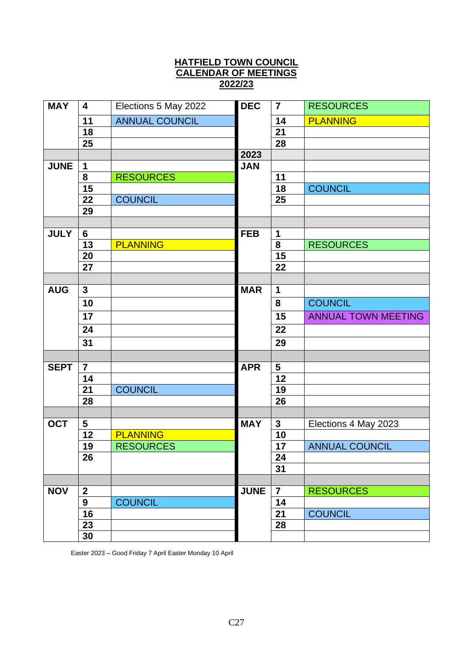# **HATFIELD TOWN COUNCIL CALENDAR OF MEETINGS 2022/23**

| <b>MAY</b>  | 4               | Elections 5 May 2022  | <b>DEC</b>  | $\overline{7}$ | <b>RESOURCES</b>           |
|-------------|-----------------|-----------------------|-------------|----------------|----------------------------|
|             | 11              | <b>ANNUAL COUNCIL</b> |             | 14             | <b>PLANNING</b>            |
|             | 18              |                       |             | 21             |                            |
|             | 25              |                       |             | 28             |                            |
|             |                 |                       | 2023        |                |                            |
| <b>JUNE</b> | 1               |                       | <b>JAN</b>  |                |                            |
|             | 8               | <b>RESOURCES</b>      |             | 11             |                            |
|             | 15              |                       |             | 18             | <b>COUNCIL</b>             |
|             | 22              | <b>COUNCIL</b>        |             | 25             |                            |
|             | 29              |                       |             |                |                            |
|             |                 |                       |             |                |                            |
| <b>JULY</b> | 6               |                       | <b>FEB</b>  | $\mathbf 1$    |                            |
|             | 13              | <b>PLANNING</b>       |             | 8              | <b>RESOURCES</b>           |
|             | 20              |                       |             | 15             |                            |
|             | 27              |                       |             | 22             |                            |
|             |                 |                       |             |                |                            |
| <b>AUG</b>  | $\mathbf{3}$    |                       | <b>MAR</b>  | $\mathbf 1$    |                            |
|             | 10              |                       |             | 8              | <b>COUNCIL</b>             |
|             | 17              |                       |             | 15             | <b>ANNUAL TOWN MEETING</b> |
|             | $\overline{24}$ |                       |             | 22             |                            |
|             | 31              |                       |             | 29             |                            |
|             |                 |                       |             |                |                            |
| <b>SEPT</b> | $\overline{7}$  |                       | <b>APR</b>  | 5              |                            |
|             | 14              |                       |             | 12             |                            |
|             | 21              | <b>COUNCIL</b>        |             | 19             |                            |
|             | 28              |                       |             | 26             |                            |
|             |                 |                       |             |                |                            |
| <b>OCT</b>  | 5               |                       | <b>MAY</b>  | $\mathbf{3}$   | Elections 4 May 2023       |
|             | 12              | <b>PLANNING</b>       |             | 10             |                            |
|             | 19              | <b>RESOURCES</b>      |             | 17             | <b>ANNUAL COUNCIL</b>      |
|             | 26              |                       |             | 24             |                            |
|             |                 |                       |             | 31             |                            |
|             |                 |                       |             |                |                            |
| <b>NOV</b>  | $\mathbf 2$     |                       | <b>JUNE</b> | $\overline{7}$ | <b>RESOURCES</b>           |
|             | 9               | <b>COUNCIL</b>        |             | 14             |                            |
|             | 16              |                       |             | 21             | <b>COUNCIL</b>             |
|             | 23              |                       |             | 28             |                            |
|             | 30              |                       |             |                |                            |

Easter 2023 – Good Friday 7 April Easter Monday 10 April